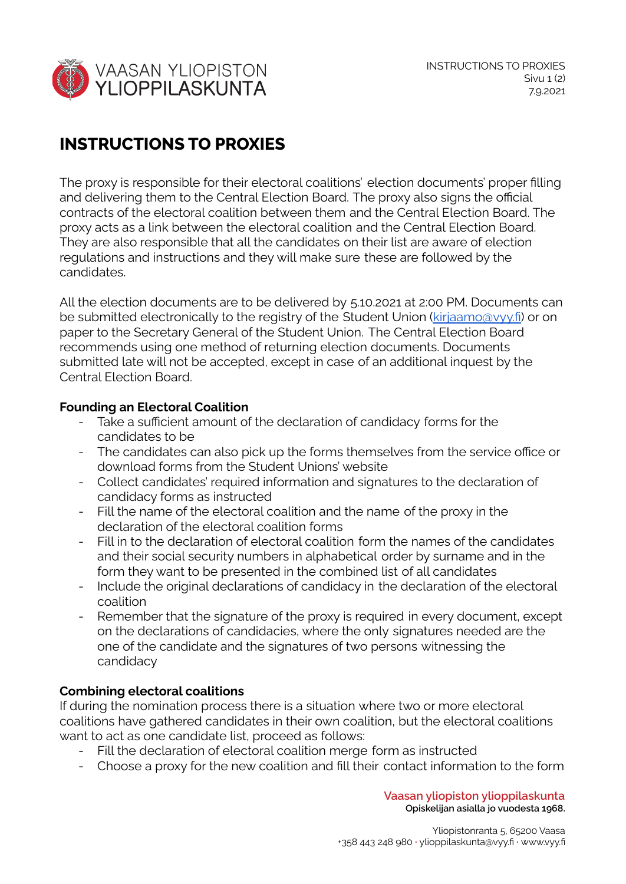

## **INSTRUCTIONS TO PROXIES**

The proxy is responsible for their electoral coalitions' election documents' proper filling and delivering them to the Central Election Board. The proxy also signs the official contracts of the electoral coalition between them and the Central Election Board. The proxy acts as a link between the electoral coalition and the Central Election Board. They are also responsible that all the candidates on their list are aware of election regulations and instructions and they will make sure these are followed by the candidates.

All the election documents are to be delivered by 5.10.2021 at 2:00 PM. Documents can be submitted electronically to the registry of the Student Union [\(kirjaamo@vyy.fi](mailto:kirjaamo@vyy.fi)) or on paper to the Secretary General of the Student Union. The Central Election Board recommends using one method of returning election documents. Documents submitted late will not be accepted, except in case of an additional inquest by the Central Election Board.

## **Founding an Electoral Coalition**

- Take a sufficient amount of the declaration of candidacy forms for the candidates to be
- The candidates can also pick up the forms themselves from the service office or download forms from the Student Unions' website
- Collect candidates' required information and signatures to the declaration of candidacy forms as instructed
- Fill the name of the electoral coalition and the name of the proxy in the declaration of the electoral coalition forms
- Fill in to the declaration of electoral coalition form the names of the candidates and their social security numbers in alphabetical order by surname and in the form they want to be presented in the combined list of all candidates
- Include the original declarations of candidacy in the declaration of the electoral coalition
- Remember that the signature of the proxy is required in every document, except on the declarations of candidacies, where the only signatures needed are the one of the candidate and the signatures of two persons witnessing the candidacy

## **Combining electoral coalitions**

If during the nomination process there is a situation where two or more electoral coalitions have gathered candidates in their own coalition, but the electoral coalitions want to act as one candidate list, proceed as follows:

- Fill the declaration of electoral coalition merge form as instructed
- Choose a proxy for the new coalition and fill their contact information to the form

**Vaasan yliopiston ylioppilaskunta Opiskelijan asialla jo vuodesta 1968.**